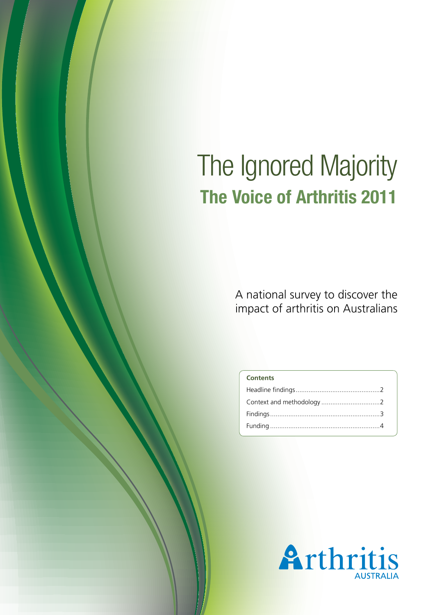# The Ignored Majority **The Voice of Arthritis 2011**

A national survey to discover the impact of arthritis on Australians

| <b>Contents</b> |  |
|-----------------|--|
|                 |  |
|                 |  |
|                 |  |
|                 |  |
|                 |  |

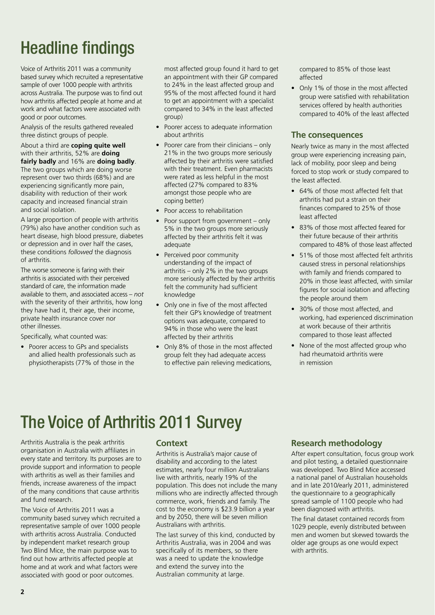## Headline findings

Voice of Arthritis 2011 was a community based survey which recruited a representative sample of over 1000 people with arthritis across Australia. The purpose was to find out how arthritis affected people at home and at work and what factors were associated with good or poor outcomes.

Analysis of the results gathered revealed three distinct groups of people.

About a third are **coping quite well** with their arthritis, 52% are **doing fairly badly** and 16% are **doing badly**. The two groups which are doing worse represent over two thirds (68%) and are experiencing significantly more pain, disability with reduction of their work capacity and increased financial strain and social isolation.

A large proportion of people with arthritis (79%) also have another condition such as heart disease, high blood pressure, diabetes or depression and in over half the cases, these conditions *followed* the diagnosis of arthritis.

The worse someone is faring with their arthritis is associated with their perceived standard of care, the information made available to them, and associated access – *not* with the severity of their arthritis, how long they have had it, their age, their income, private health insurance cover nor other illnesses.

Specifically, what counted was:

• Poorer access to GPs and specialists and allied health professionals such as physiotherapists (77% of those in the

most affected group found it hard to get an appointment with their GP compared to 24% in the least affected group and 95% of the most affected found it hard to get an appointment with a specialist compared to 34% in the least affected group)

- Poorer access to adequate information about arthritis
- Poorer care from their clinicians  $-$  only 21% in the two groups more seriously affected by their arthritis were satisfied with their treatment. Even pharmacists were rated as less helpful in the most affected (27% compared to 83% amongst those people who are coping better)
- Poor access to rehabilitation
- Poor support from government only 5% in the two groups more seriously affected by their arthritis felt it was adequate
- Perceived poor community understanding of the impact of arthritis – only 2% in the two groups more seriously affected by their arthritis felt the community had sufficient knowledge
- • Only one in five of the most affected felt their GP's knowledge of treatment options was adequate, compared to 94% in those who were the least affected by their arthritis
- Only 8% of those in the most affected group felt they had adequate access to effective pain relieving medications,

compared to 85% of those least affected

• Only 1% of those in the most affected group were satisfied with rehabilitation services offered by health authorities compared to 40% of the least affected

### **The consequences**

Nearly twice as many in the most affected group were experiencing increasing pain, lack of mobility, poor sleep and being forced to stop work or study compared to the least affected.

- 64% of those most affected felt that arthritis had put a strain on their finances compared to 25% of those least affected
- 83% of those most affected feared for their future because of their arthritis compared to 48% of those least affected
- 51% of those most affected felt arthritis caused stress in personal relationships with family and friends compared to 20% in those least affected, with similar figures for social isolation and affecting the people around them
- 30% of those most affected, and working, had experienced discrimination at work because of their arthritis compared to those least affected
- None of the most affected group who had rheumatoid arthritis were in remission

## The Voice of Arthritis 2011 Survey

Arthritis Australia is the peak arthritis organisation in Australia with affiliates in every state and territory. Its purposes are to provide support and information to people with arthritis as well as their families and friends, increase awareness of the impact of the many conditions that cause arthritis and fund research.

The Voice of Arthritis 2011 was a community based survey which recruited a representative sample of over 1000 people with arthritis across Australia. Conducted by independent market research group Two Blind Mice, the main purpose was to find out how arthritis affected people at home and at work and what factors were associated with good or poor outcomes.

#### **Context**

Arthritis is Australia's major cause of disability and according to the latest estimates, nearly four million Australians live with arthritis, nearly 19% of the population. This does not include the many millions who are indirectly affected through commerce, work, friends and family. The cost to the economy is \$23.9 billion a year and by 2050, there will be seven million Australians with arthritis.

The last survey of this kind, conducted by Arthritis Australia, was in 2004 and was specifically of its members, so there was a need to update the knowledge and extend the survey into the Australian community at large.

### **Research methodology**

After expert consultation, focus group work and pilot testing, a detailed questionnaire was developed. Two Blind Mice accessed a national panel of Australian households and in late 2010/early 2011, administered the questionnaire to a geographically spread sample of 1100 people who had been diagnosed with arthritis.

The final dataset contained records from 1029 people, evenly distributed between men and women but skewed towards the older age groups as one would expect with arthritis.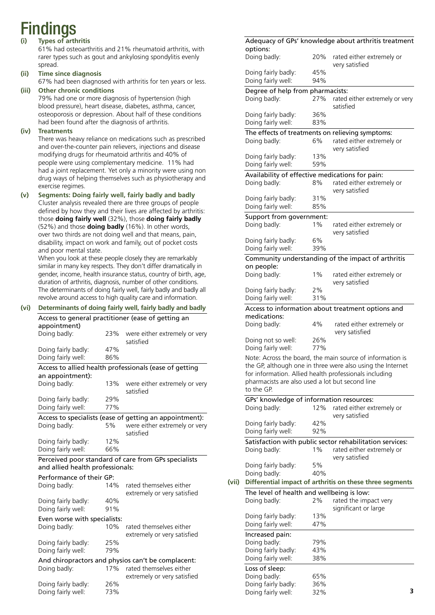# Findings

#### **(i) Types of arthritis**

 61% had osteoarthritis and 21% rheumatoid arthritis, with rarer types such as gout and ankylosing spondylitis evenly spread.

**(ii) Time since diagnosis**

67% had been diagnosed with arthritis for ten years or less.

**(iii) Other chronic conditions**

 79% had one or more diagnosis of hypertension (high blood pressure), heart disease, diabetes, asthma, cancer, osteoporosis or depression. About half of these conditions had been found after the diagnosis of arthritis.

#### **(iv) Treatments**

 There was heavy reliance on medications such as prescribed and over-the-counter pain relievers, injections and disease modifying drugs for rheumatoid arthritis and 40% of people were using complementary medicine. 11% had had a joint replacement. Yet only a minority were using non drug ways of helping themselves such as physiotherapy and exercise regimes.

**(v) Segments: Doing fairly well, fairly badly and badly** Cluster analysis revealed there are three groups of people defined by how they and their lives are affected by arthritis: those **doing fairly well** (32%), those **doing fairly badly** (52%) and those **doing badly** (16%). In other words, over two thirds are not doing well and that means, pain, disability, impact on work and family, out of pocket costs and poor mental state.

When you look at these people closely they are remarkably similar in many key respects. They don't differ dramatically in gender, income, health insurance status, country of birth, age, duration of arthritis, diagnosis, number of other conditions. The determinants of doing fairly well, fairly badly and badly all revolve around access to high quality care and information.

#### **(vi) Determinants of doing fairly well, fairly badly and badly** Access to general practitioner (ease of getting an appointment) Doing badly: 23% were either extremely or very satisfied Doing fairly badly: 47% Doing fairly well: 86% Access to allied health professionals (ease of getting an appointment): Doing badly: 13% were either extremely or very satisfied Doing fairly badly: 29% Doing fairly well: 77% Access to specialists (ease of getting an appointment): Doing badly: 5% were either extremely or very satisfied Doing fairly badly: 12% Doing fairly well: 66% Perceived poor standard of care from GPs specialists and allied health professionals: Performance of their GP: Doing badly: 14% rated themselves either extremely or very satisfied Doing fairly badly: 40% Doing fairly well: 91% Even worse with specialists: Doing badly: 10% rated themselves either extremely or very satisfied Doing fairly badly: 25% Doing fairly well: 79% And chiropractors and physios can't be complacent: Doing badly: 17% rated themselves either extremely or very satisfied Doing fairly badly: 26% Doing fairly well: 73%

| options:                                         |            | Adequacy of GPs' knowledge about arthritis treatment                                                                                                                                                                                 |
|--------------------------------------------------|------------|--------------------------------------------------------------------------------------------------------------------------------------------------------------------------------------------------------------------------------------|
| Doing badly:                                     | 20%        | rated either extremely or<br>very satisfied                                                                                                                                                                                          |
| Doing fairly badly:<br>Doing fairly well:        | 45%<br>94% |                                                                                                                                                                                                                                      |
| Degree of help from pharmacists:<br>Doing badly: | 27%        | rated either extremely or very<br>satisfied                                                                                                                                                                                          |
| Doing fairly badly:<br>Doing fairly well:        | 36%<br>83% |                                                                                                                                                                                                                                      |
|                                                  |            | The effects of treatments on relieving symptoms:                                                                                                                                                                                     |
| Doing badly:                                     | 6%         | rated either extremely or<br>very satisfied                                                                                                                                                                                          |
| Doing fairly badly:<br>Doing fairly well:        | 13%<br>59% |                                                                                                                                                                                                                                      |
|                                                  |            | Availability of effective medications for pain:                                                                                                                                                                                      |
| Doing badly:                                     | 8%         | rated either extremely or<br>very satisfied                                                                                                                                                                                          |
| Doing fairly badly:                              | 31%        |                                                                                                                                                                                                                                      |
| Doing fairly well:                               | 85%        |                                                                                                                                                                                                                                      |
| Support from government:<br>Doing badly:         | $1\%$      | rated either extremely or<br>very satisfied                                                                                                                                                                                          |
| Doing fairly badly:<br>Doing fairly well:        | 6%<br>39%  |                                                                                                                                                                                                                                      |
|                                                  |            | Community understanding of the impact of arthritis                                                                                                                                                                                   |
| on people:                                       |            |                                                                                                                                                                                                                                      |
| Doing badly:                                     | $1\%$      | rated either extremely or<br>very satisfied                                                                                                                                                                                          |
| Doing fairly badly:<br>Doing fairly well:        | 2%<br>31%  |                                                                                                                                                                                                                                      |
|                                                  |            |                                                                                                                                                                                                                                      |
| medications:                                     |            | Access to information about treatment options and                                                                                                                                                                                    |
| Doing badly:                                     | 4%         | rated either extremely or<br>very satisfied                                                                                                                                                                                          |
| Doing not so well:<br>Doing fairly well:         | 26%<br>77% |                                                                                                                                                                                                                                      |
| to the GP.                                       |            | Note: Across the board, the main source of information is<br>the GP, although one in three were also using the Internet<br>for information. Allied health professionals including<br>pharmacists are also used a lot but second line |
|                                                  |            | GPs' knowledge of information resources:                                                                                                                                                                                             |
| Doing badly:                                     | 12%        | rated either extremely or<br>very satisfied                                                                                                                                                                                          |
| Doing fairly badly:<br>Doing fairly well:        | 42%<br>92% |                                                                                                                                                                                                                                      |
| Doing badly:                                     | $1\%$      | Satisfaction with public sector rehabilitation services:<br>rated either extremely or<br>very satisfied                                                                                                                              |
| Doing fairly badly:                              | 5%         |                                                                                                                                                                                                                                      |
| Doing badly:                                     | 40%        |                                                                                                                                                                                                                                      |
|                                                  |            | Differential impact of arthritis on these three segments                                                                                                                                                                             |
|                                                  |            | The level of health and wellbeing is low:                                                                                                                                                                                            |
| Doing badly:                                     | 2%         | rated the impact very<br>significant or large                                                                                                                                                                                        |
| Doing fairly badly:<br>Doing fairly well:        | 13%<br>47% |                                                                                                                                                                                                                                      |
| Increased pain:                                  |            |                                                                                                                                                                                                                                      |
| Doing badly:                                     | 79%        |                                                                                                                                                                                                                                      |
| Doing fairly badly:<br>Doing fairly well:        | 43%        |                                                                                                                                                                                                                                      |
|                                                  | 38%        |                                                                                                                                                                                                                                      |
|                                                  |            |                                                                                                                                                                                                                                      |
| Loss of sleep:                                   |            |                                                                                                                                                                                                                                      |
| Doing badly:<br>Doing fairly badly:              | 65%<br>36% |                                                                                                                                                                                                                                      |